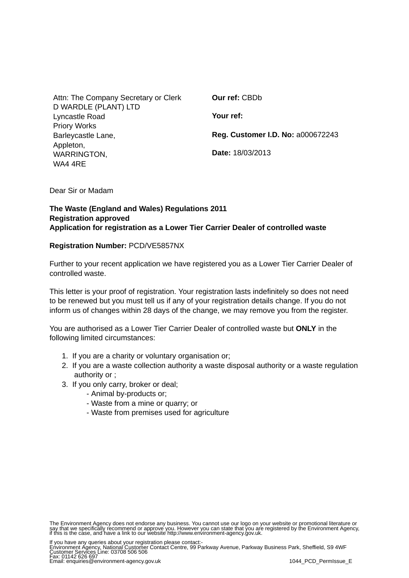| Attn: The Company Secretary or Clerk | Our ref: CBDb                            |
|--------------------------------------|------------------------------------------|
| D WARDLE (PLANT) LTD                 |                                          |
| Lyncastle Road                       | Your ref:                                |
| <b>Priory Works</b>                  |                                          |
| Barleycastle Lane,                   | <b>Reg. Customer I.D. No: a000672243</b> |
| Appleton,                            |                                          |
| WARRINGTON,                          | Date: 18/03/2013                         |
| WA4 4RE                              |                                          |

Dear Sir or Madam

## **The Waste (England and Wales) Regulations 2011 Registration approved Application for registration as a Lower Tier Carrier Dealer of controlled waste**

## **Registration Number:** PCD/VE5857NX

Further to your recent application we have registered you as a Lower Tier Carrier Dealer of controlled waste.

This letter is your proof of registration. Your registration lasts indefinitely so does not need to be renewed but you must tell us if any of your registration details change. If you do not inform us of changes within 28 days of the change, we may remove you from the register.

You are authorised as a Lower Tier Carrier Dealer of controlled waste but **ONLY** in the following limited circumstances:

- 1. If you are a charity or voluntary organisation or;
- 2. If you are a waste collection authority a waste disposal authority or a waste regulation authority or ;
- 3. If you only carry, broker or deal;
	- Animal by-products or;
	- Waste from a mine or quarry; or
	- Waste from premises used for agriculture

If you have any queries about your registration please contact:-<br>Environment Agency, National Customer Contact Centre, 99 Parkway Avenue, Parkway Business Park, Sheffield, S9 4WF<br>Customer Services Line: 03708 506 506<br>Fax: Produced by the second of the second of the second of the second of the second of the second of the second of the E

The Environment Agency does not endorse any business. You cannot use our logo on your website or promotional literature or<br>say that we specifically recommend or approve you. However you can state that you are registered by